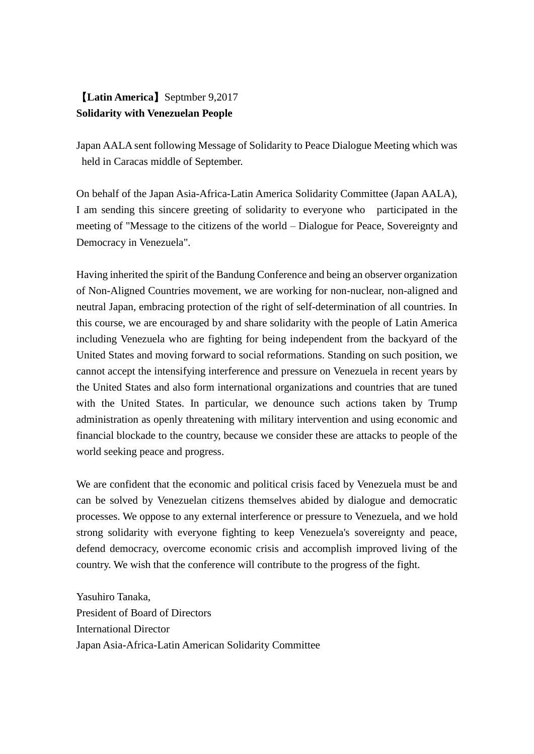## 【**Latin America**】Septmber 9,2017 **Solidarity with Venezuelan People**

Japan AALA sent following Message of Solidarity to Peace Dialogue Meeting which was held in Caracas middle of September.

On behalf of the Japan Asia-Africa-Latin America Solidarity Committee (Japan AALA), I am sending this sincere greeting of solidarity to everyone who participated in the meeting of "Message to the citizens of the world – Dialogue for Peace, Sovereignty and Democracy in Venezuela".

Having inherited the spirit of the Bandung Conference and being an observer organization of Non-Aligned Countries movement, we are working for non-nuclear, non-aligned and neutral Japan, embracing protection of the right of self-determination of all countries. In this course, we are encouraged by and share solidarity with the people of Latin America including Venezuela who are fighting for being independent from the backyard of the United States and moving forward to social reformations. Standing on such position, we cannot accept the intensifying interference and pressure on Venezuela in recent years by the United States and also form international organizations and countries that are tuned with the United States. In particular, we denounce such actions taken by Trump administration as openly threatening with military intervention and using economic and financial blockade to the country, because we consider these are attacks to people of the world seeking peace and progress.

We are confident that the economic and political crisis faced by Venezuela must be and can be solved by Venezuelan citizens themselves abided by dialogue and democratic processes. We oppose to any external interference or pressure to Venezuela, and we hold strong solidarity with everyone fighting to keep Venezuela's sovereignty and peace, defend democracy, overcome economic crisis and accomplish improved living of the country. We wish that the conference will contribute to the progress of the fight.

Yasuhiro Tanaka, President of Board of Directors International Director Japan Asia-Africa-Latin American Solidarity Committee